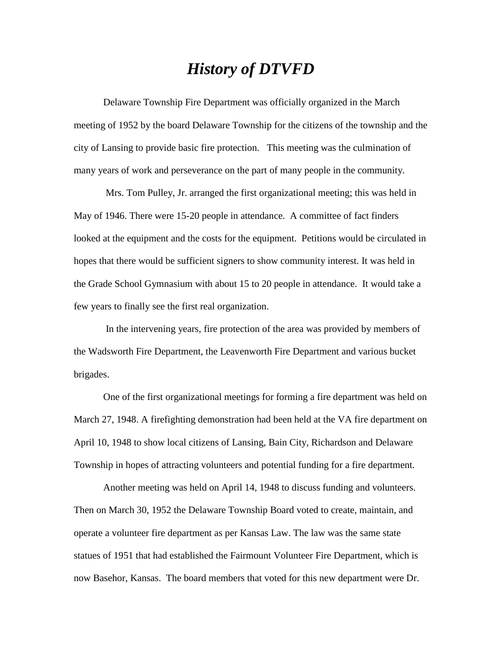## *History of DTVFD*

Delaware Township Fire Department was officially organized in the March meeting of 1952 by the board Delaware Township for the citizens of the township and the city of Lansing to provide basic fire protection. This meeting was the culmination of many years of work and perseverance on the part of many people in the community.

Mrs. Tom Pulley, Jr. arranged the first organizational meeting; this was held in May of 1946. There were 15-20 people in attendance. A committee of fact finders looked at the equipment and the costs for the equipment. Petitions would be circulated in hopes that there would be sufficient signers to show community interest. It was held in the Grade School Gymnasium with about 15 to 20 people in attendance. It would take a few years to finally see the first real organization.

In the intervening years, fire protection of the area was provided by members of the Wadsworth Fire Department, the Leavenworth Fire Department and various bucket brigades.

One of the first organizational meetings for forming a fire department was held on March 27, 1948. A firefighting demonstration had been held at the VA fire department on April 10, 1948 to show local citizens of Lansing, Bain City, Richardson and Delaware Township in hopes of attracting volunteers and potential funding for a fire department.

Another meeting was held on April 14, 1948 to discuss funding and volunteers. Then on March 30, 1952 the Delaware Township Board voted to create, maintain, and operate a volunteer fire department as per Kansas Law. The law was the same state statues of 1951 that had established the Fairmount Volunteer Fire Department, which is now Basehor, Kansas. The board members that voted for this new department were Dr.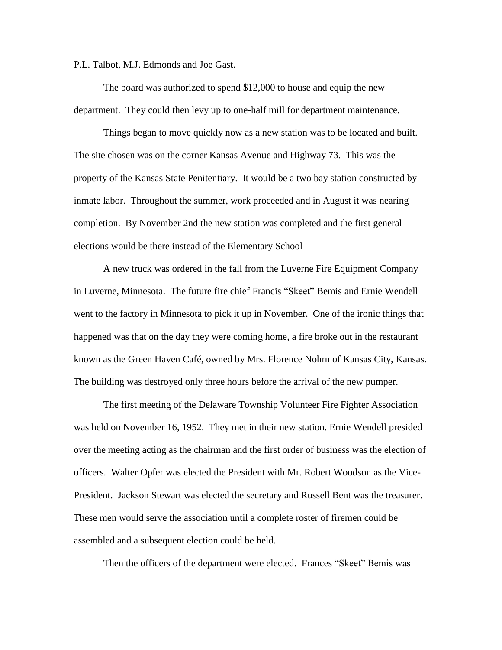P.L. Talbot, M.J. Edmonds and Joe Gast.

The board was authorized to spend \$12,000 to house and equip the new department. They could then levy up to one-half mill for department maintenance.

Things began to move quickly now as a new station was to be located and built. The site chosen was on the corner Kansas Avenue and Highway 73. This was the property of the Kansas State Penitentiary. It would be a two bay station constructed by inmate labor. Throughout the summer, work proceeded and in August it was nearing completion. By November 2nd the new station was completed and the first general elections would be there instead of the Elementary School

A new truck was ordered in the fall from the Luverne Fire Equipment Company in Luverne, Minnesota. The future fire chief Francis "Skeet" Bemis and Ernie Wendell went to the factory in Minnesota to pick it up in November. One of the ironic things that happened was that on the day they were coming home, a fire broke out in the restaurant known as the Green Haven Café, owned by Mrs. Florence Nohrn of Kansas City, Kansas. The building was destroyed only three hours before the arrival of the new pumper.

The first meeting of the Delaware Township Volunteer Fire Fighter Association was held on November 16, 1952. They met in their new station. Ernie Wendell presided over the meeting acting as the chairman and the first order of business was the election of officers. Walter Opfer was elected the President with Mr. Robert Woodson as the Vice-President. Jackson Stewart was elected the secretary and Russell Bent was the treasurer. These men would serve the association until a complete roster of firemen could be assembled and a subsequent election could be held.

Then the officers of the department were elected. Frances "Skeet" Bemis was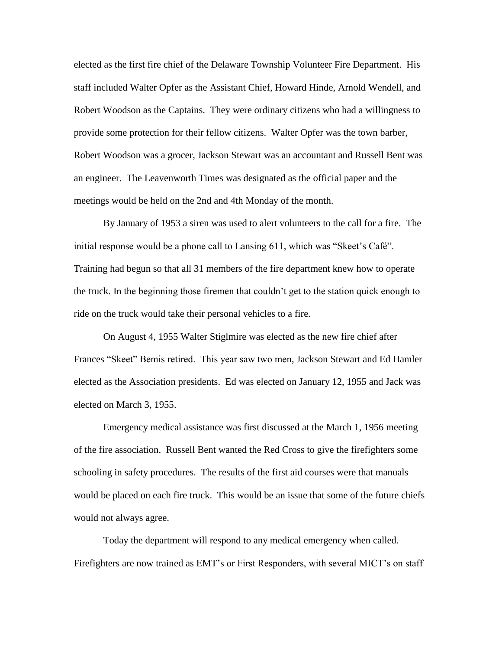elected as the first fire chief of the Delaware Township Volunteer Fire Department. His staff included Walter Opfer as the Assistant Chief, Howard Hinde, Arnold Wendell, and Robert Woodson as the Captains. They were ordinary citizens who had a willingness to provide some protection for their fellow citizens. Walter Opfer was the town barber, Robert Woodson was a grocer, Jackson Stewart was an accountant and Russell Bent was an engineer. The Leavenworth Times was designated as the official paper and the meetings would be held on the 2nd and 4th Monday of the month.

By January of 1953 a siren was used to alert volunteers to the call for a fire. The initial response would be a phone call to Lansing 611, which was "Skeet's Café". Training had begun so that all 31 members of the fire department knew how to operate the truck. In the beginning those firemen that couldn't get to the station quick enough to ride on the truck would take their personal vehicles to a fire.

On August 4, 1955 Walter Stiglmire was elected as the new fire chief after Frances "Skeet" Bemis retired. This year saw two men, Jackson Stewart and Ed Hamler elected as the Association presidents. Ed was elected on January 12, 1955 and Jack was elected on March 3, 1955.

Emergency medical assistance was first discussed at the March 1, 1956 meeting of the fire association. Russell Bent wanted the Red Cross to give the firefighters some schooling in safety procedures. The results of the first aid courses were that manuals would be placed on each fire truck. This would be an issue that some of the future chiefs would not always agree.

Today the department will respond to any medical emergency when called. Firefighters are now trained as EMT's or First Responders, with several MICT's on staff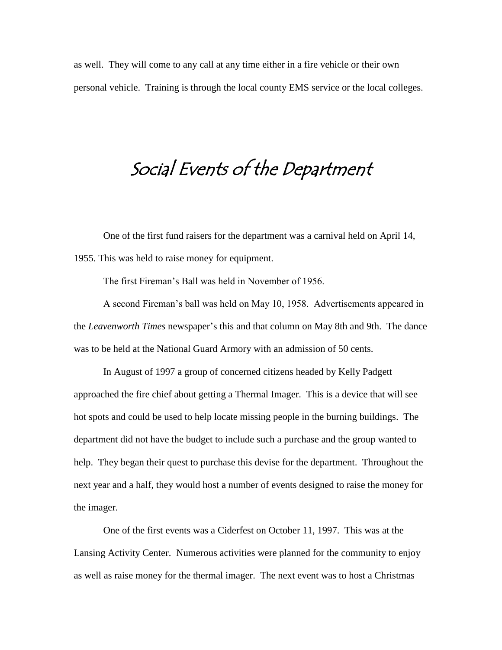as well. They will come to any call at any time either in a fire vehicle or their own personal vehicle. Training is through the local county EMS service or the local colleges.

# Social Events of the Department

One of the first fund raisers for the department was a carnival held on April 14, 1955. This was held to raise money for equipment.

The first Fireman's Ball was held in November of 1956.

A second Fireman's ball was held on May 10, 1958. Advertisements appeared in the *Leavenworth Times* newspaper's this and that column on May 8th and 9th. The dance was to be held at the National Guard Armory with an admission of 50 cents.

In August of 1997 a group of concerned citizens headed by Kelly Padgett approached the fire chief about getting a Thermal Imager. This is a device that will see hot spots and could be used to help locate missing people in the burning buildings. The department did not have the budget to include such a purchase and the group wanted to help. They began their quest to purchase this devise for the department. Throughout the next year and a half, they would host a number of events designed to raise the money for the imager.

One of the first events was a Ciderfest on October 11, 1997. This was at the Lansing Activity Center. Numerous activities were planned for the community to enjoy as well as raise money for the thermal imager. The next event was to host a Christmas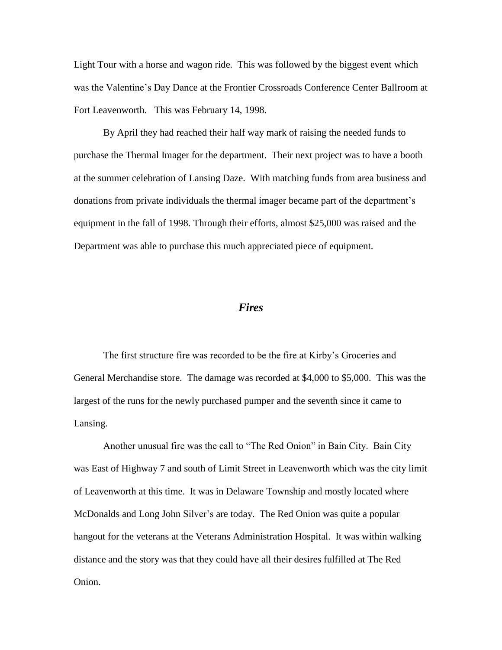Light Tour with a horse and wagon ride. This was followed by the biggest event which was the Valentine's Day Dance at the Frontier Crossroads Conference Center Ballroom at Fort Leavenworth. This was February 14, 1998.

By April they had reached their half way mark of raising the needed funds to purchase the Thermal Imager for the department. Their next project was to have a booth at the summer celebration of Lansing Daze. With matching funds from area business and donations from private individuals the thermal imager became part of the department's equipment in the fall of 1998. Through their efforts, almost \$25,000 was raised and the Department was able to purchase this much appreciated piece of equipment.

#### *Fires*

The first structure fire was recorded to be the fire at Kirby's Groceries and General Merchandise store. The damage was recorded at \$4,000 to \$5,000. This was the largest of the runs for the newly purchased pumper and the seventh since it came to Lansing.

Another unusual fire was the call to "The Red Onion" in Bain City. Bain City was East of Highway 7 and south of Limit Street in Leavenworth which was the city limit of Leavenworth at this time. It was in Delaware Township and mostly located where McDonalds and Long John Silver's are today. The Red Onion was quite a popular hangout for the veterans at the Veterans Administration Hospital. It was within walking distance and the story was that they could have all their desires fulfilled at The Red Onion.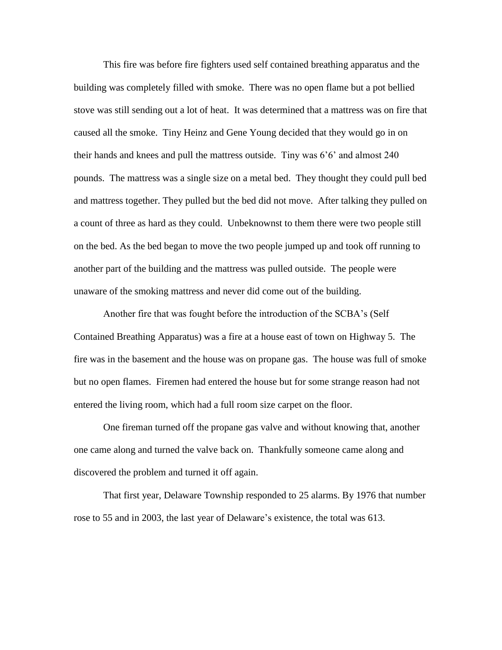This fire was before fire fighters used self contained breathing apparatus and the building was completely filled with smoke. There was no open flame but a pot bellied stove was still sending out a lot of heat. It was determined that a mattress was on fire that caused all the smoke. Tiny Heinz and Gene Young decided that they would go in on their hands and knees and pull the mattress outside. Tiny was 6'6' and almost 240 pounds. The mattress was a single size on a metal bed. They thought they could pull bed and mattress together. They pulled but the bed did not move. After talking they pulled on a count of three as hard as they could. Unbeknownst to them there were two people still on the bed. As the bed began to move the two people jumped up and took off running to another part of the building and the mattress was pulled outside. The people were unaware of the smoking mattress and never did come out of the building.

Another fire that was fought before the introduction of the SCBA's (Self Contained Breathing Apparatus) was a fire at a house east of town on Highway 5. The fire was in the basement and the house was on propane gas. The house was full of smoke but no open flames. Firemen had entered the house but for some strange reason had not entered the living room, which had a full room size carpet on the floor.

One fireman turned off the propane gas valve and without knowing that, another one came along and turned the valve back on. Thankfully someone came along and discovered the problem and turned it off again.

That first year, Delaware Township responded to 25 alarms. By 1976 that number rose to 55 and in 2003, the last year of Delaware's existence, the total was 613.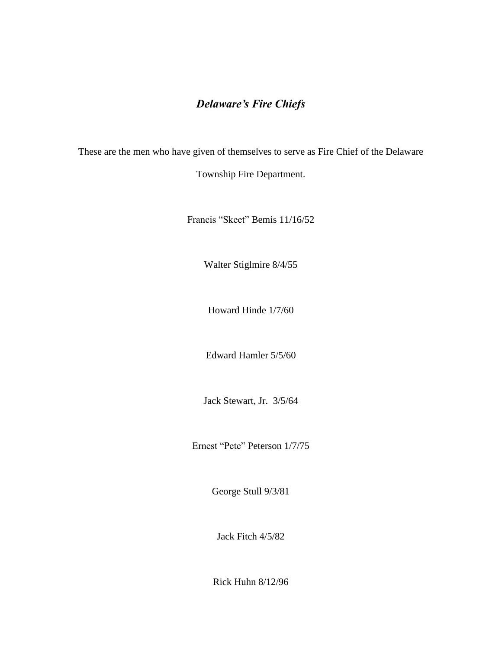### *Delaware's Fire Chiefs*

These are the men who have given of themselves to serve as Fire Chief of the Delaware

Township Fire Department.

Francis "Skeet" Bemis 11/16/52

Walter Stiglmire 8/4/55

Howard Hinde 1/7/60

Edward Hamler 5/5/60

Jack Stewart, Jr. 3/5/64

Ernest "Pete" Peterson 1/7/75

George Stull 9/3/81

Jack Fitch 4/5/82

Rick Huhn 8/12/96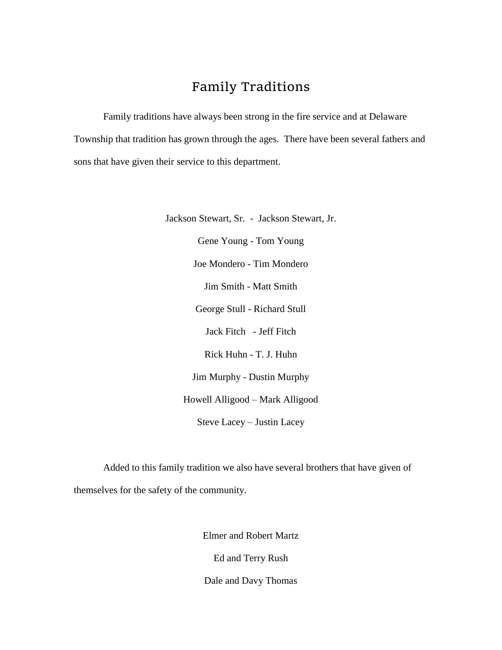## Family Traditions

Family traditions have always been strong in the fire service and at Delaware Township that tradition has grown through the ages. There have been several fathers and sons that have given their service to this department.

> Jackson Stewart, Sr. - Jackson Stewart, Jr. Gene Young - Tom Young Joe Mondero - Tim Mondero Jim Smith - Matt Smith George Stull - Richard Stull Jack Fitch - Jeff Fitch Rick Huhn - T. J. Huhn Jim Murphy - Dustin Murphy Howell Alligood – Mark Alligood Steve Lacey – Justin Lacey

Added to this family tradition we also have several brothers that have given of themselves for the safety of the community.

Elmer and Robert Martz

Ed and Terry Rush

Dale and Davy Thomas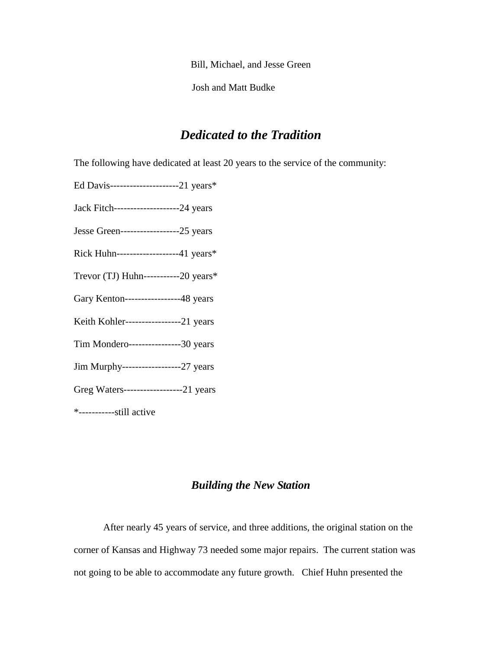Bill, Michael, and Jesse Green

Josh and Matt Budke

## *Dedicated to the Tradition*

The following have dedicated at least 20 years to the service of the community:

Ed Davis---------------------21 years\*

Jack Fitch--------------------24 years

Jesse Green------------------25 years

Rick Huhn-------------------41 years\*

Trevor (TJ) Huhn-----------20 years\*

Gary Kenton-----------------48 years

Keith Kohler-----------------21 years

Tim Mondero----------------30 years

Jim Murphy------------------27 years

Greg Waters------------------21 years

\*-----------still active

#### *Building the New Station*

After nearly 45 years of service, and three additions, the original station on the corner of Kansas and Highway 73 needed some major repairs. The current station was not going to be able to accommodate any future growth. Chief Huhn presented the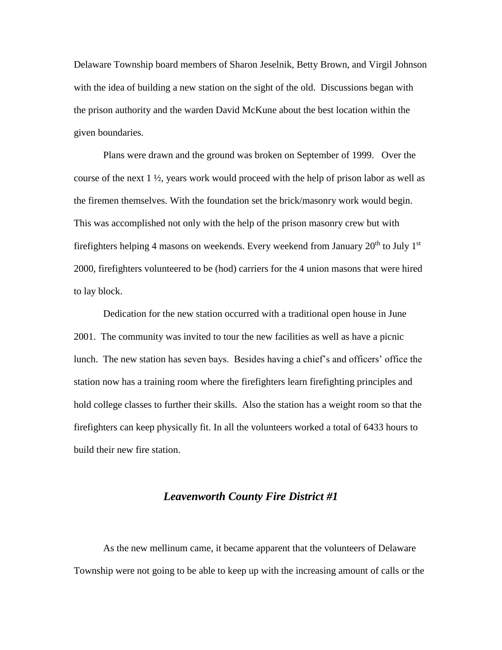Delaware Township board members of Sharon Jeselnik, Betty Brown, and Virgil Johnson with the idea of building a new station on the sight of the old. Discussions began with the prison authority and the warden David McKune about the best location within the given boundaries.

Plans were drawn and the ground was broken on September of 1999. Over the course of the next  $1 \frac{1}{2}$ , years work would proceed with the help of prison labor as well as the firemen themselves. With the foundation set the brick/masonry work would begin. This was accomplished not only with the help of the prison masonry crew but with firefighters helping 4 masons on weekends. Every weekend from January  $20<sup>th</sup>$  to July 1<sup>st</sup> 2000, firefighters volunteered to be (hod) carriers for the 4 union masons that were hired to lay block.

Dedication for the new station occurred with a traditional open house in June 2001. The community was invited to tour the new facilities as well as have a picnic lunch. The new station has seven bays. Besides having a chief's and officers' office the station now has a training room where the firefighters learn firefighting principles and hold college classes to further their skills. Also the station has a weight room so that the firefighters can keep physically fit. In all the volunteers worked a total of 6433 hours to build their new fire station.

#### *Leavenworth County Fire District #1*

As the new mellinum came, it became apparent that the volunteers of Delaware Township were not going to be able to keep up with the increasing amount of calls or the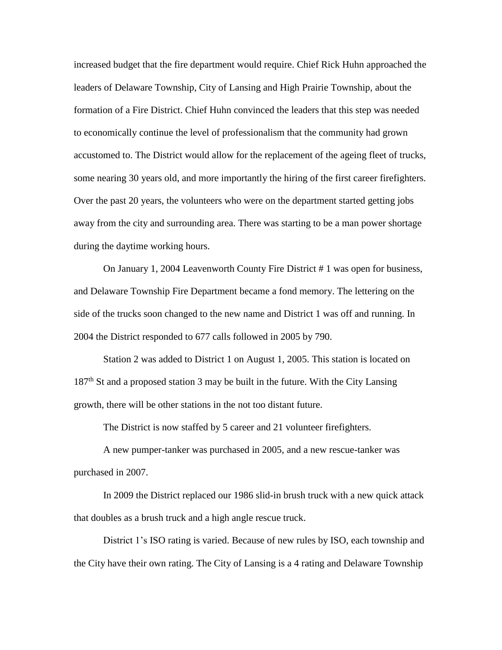increased budget that the fire department would require. Chief Rick Huhn approached the leaders of Delaware Township, City of Lansing and High Prairie Township, about the formation of a Fire District. Chief Huhn convinced the leaders that this step was needed to economically continue the level of professionalism that the community had grown accustomed to. The District would allow for the replacement of the ageing fleet of trucks, some nearing 30 years old, and more importantly the hiring of the first career firefighters. Over the past 20 years, the volunteers who were on the department started getting jobs away from the city and surrounding area. There was starting to be a man power shortage during the daytime working hours.

On January 1, 2004 Leavenworth County Fire District # 1 was open for business, and Delaware Township Fire Department became a fond memory. The lettering on the side of the trucks soon changed to the new name and District 1 was off and running. In 2004 the District responded to 677 calls followed in 2005 by 790.

Station 2 was added to District 1 on August 1, 2005. This station is located on  $187<sup>th</sup>$  St and a proposed station 3 may be built in the future. With the City Lansing growth, there will be other stations in the not too distant future.

The District is now staffed by 5 career and 21 volunteer firefighters.

A new pumper-tanker was purchased in 2005, and a new rescue-tanker was purchased in 2007.

In 2009 the District replaced our 1986 slid-in brush truck with a new quick attack that doubles as a brush truck and a high angle rescue truck.

District 1's ISO rating is varied. Because of new rules by ISO, each township and the City have their own rating. The City of Lansing is a 4 rating and Delaware Township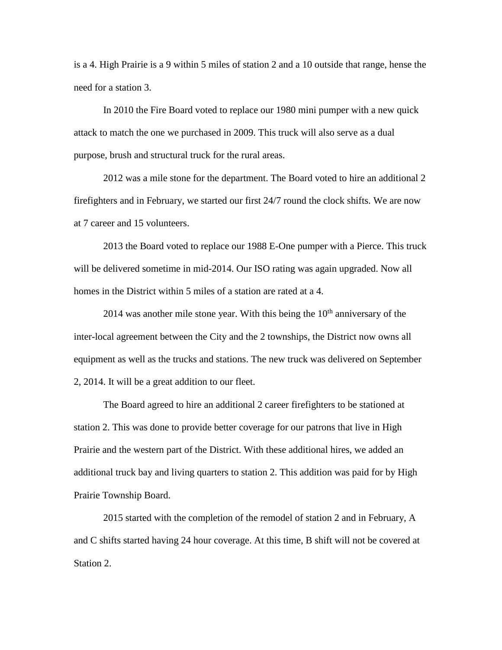is a 4. High Prairie is a 9 within 5 miles of station 2 and a 10 outside that range, hense the need for a station 3.

In 2010 the Fire Board voted to replace our 1980 mini pumper with a new quick attack to match the one we purchased in 2009. This truck will also serve as a dual purpose, brush and structural truck for the rural areas.

2012 was a mile stone for the department. The Board voted to hire an additional 2 firefighters and in February, we started our first 24/7 round the clock shifts. We are now at 7 career and 15 volunteers.

2013 the Board voted to replace our 1988 E-One pumper with a Pierce. This truck will be delivered sometime in mid-2014. Our ISO rating was again upgraded. Now all homes in the District within 5 miles of a station are rated at a 4.

2014 was another mile stone year. With this being the  $10<sup>th</sup>$  anniversary of the inter-local agreement between the City and the 2 townships, the District now owns all equipment as well as the trucks and stations. The new truck was delivered on September 2, 2014. It will be a great addition to our fleet.

The Board agreed to hire an additional 2 career firefighters to be stationed at station 2. This was done to provide better coverage for our patrons that live in High Prairie and the western part of the District. With these additional hires, we added an additional truck bay and living quarters to station 2. This addition was paid for by High Prairie Township Board.

2015 started with the completion of the remodel of station 2 and in February, A and C shifts started having 24 hour coverage. At this time, B shift will not be covered at Station 2.